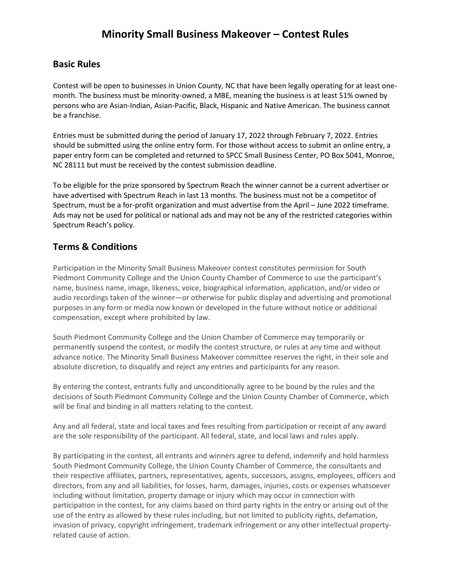## **Basic Rules**

Contest will be open to businesses in Union County, NC that have been legally operating for at least onemonth. The business must be minority-owned, a MBE, meaning the business is at least 51% owned by persons who are Asian-Indian, Asian-Pacific, Black, Hispanic and Native American. The business cannot be a franchise.

Entries must be submitted during the period of January 17, 2022 through February 7, 2022. Entries should be submitted using the online entry form. For those without access to submit an online entry, a paper entry form can be completed and returned to SPCC Small Business Center, PO Box 5041, Monroe, NC 28111 but must be received by the contest submission deadline.

To be eligible for the prize sponsored by Spectrum Reach the winner cannot be a current advertiser or have advertised with Spectrum Reach in last 13 months. The business must not be a competitor of Spectrum, must be a for-profit organization and must advertise from the April – June 2022 timeframe. Ads may not be used for political or national ads and may not be any of the restricted categories within Spectrum Reach's policy.

## **Terms & Conditions**

Participation in the Minority Small Business Makeover contest constitutes permission for South Piedmont Community College and the Union County Chamber of Commerce to use the participant's name, business name, image, likeness, voice, biographical information, application, and/or video or audio recordings taken of the winner—or otherwise for public display and advertising and promotional purposes in any form or media now known or developed in the future without notice or additional compensation, except where prohibited by law.

South Piedmont Community College and the Union Chamber of Commerce may temporarily or permanently suspend the contest, or modify the contest structure, or rules at any time and without advance notice. The Minority Small Business Makeover committee reserves the right, in their sole and absolute discretion, to disqualify and reject any entries and participants for any reason.

By entering the contest, entrants fully and unconditionally agree to be bound by the rules and the decisions of South Piedmont Community College and the Union County Chamber of Commerce, which will be final and binding in all matters relating to the contest.

Any and all federal, state and local taxes and fees resulting from participation or receipt of any award are the sole responsibility of the participant. All federal, state, and local laws and rules apply.

By participating in the contest, all entrants and winners agree to defend, indemnify and hold harmless South Piedmont Community College, the Union County Chamber of Commerce, the consultants and their respective affiliates, partners, representatives, agents, successors, assigns, employees, officers and directors, from any and all liabilities, for losses, harm, damages, injuries, costs or expenses whatsoever including without limitation, property damage or injury which may occur in connection with participation in the contest, for any claims based on third party rights in the entry or arising out of the use of the entry as allowed by these rules including, but not limited to publicity rights, defamation, invasion of privacy, copyright infringement, trademark infringement or any other intellectual propertyrelated cause of action.